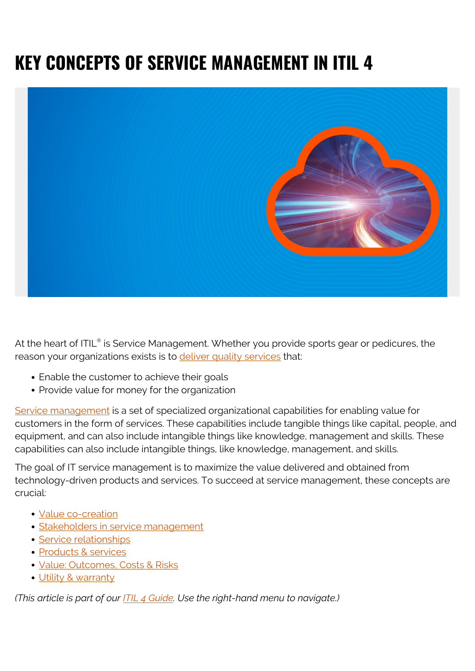# **KEY CONCEPTS OF SERVICE MANAGEMENT IN ITIL 4**



At the heart of ITIL® is Service Management. Whether you provide sports gear or pedicures, the reason your organizations exists is to [deliver quality services](https://blogs.bmc.com/blogs/itil-service-delivery/) that:

- Enable the customer to achieve their goals
- Provide value for money for the organization

[Service management](https://blogs.bmc.com/blogs/itsm/) is a set of specialized organizational capabilities for enabling value for customers in the form of services. These capabilities include tangible things like capital, people, and equipment, and can also include intangible things like knowledge, management and skills. These capabilities can also include intangible things, like knowledge, management, and skills.

The goal of IT service management is to maximize the value delivered and obtained from technology-driven products and services. To succeed at service management, these concepts are crucial:

- [Value co-creation](#page--1-0)
- **[Stakeholders in service management](#page--1-0)**
- **[Service relationships](#page--1-0)**
- [Products & services](#page--1-0)
- [Value: Outcomes, Costs & Risks](#page--1-0)
- [Utility & warranty](#page--1-0)

*(This article is part of our [ITIL 4 Guide](https://blogs.bmc.com/blogs/itil-4/). Use the right-hand menu to navigate.)*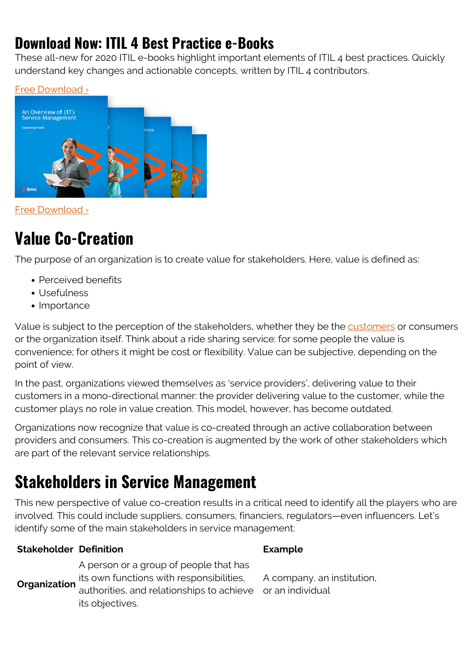#### **Download Now: ITIL 4 Best Practice e-Books**

These all-new for 2020 ITIL e-books highlight important elements of ITIL 4 best practices. Quickly understand key changes and actionable concepts, written by ITIL 4 contributors.





[Free Download ›](https://www.bmc.com/forms/itil-free-ebook.html)

#### **Value Co-Creation**

The purpose of an organization is to create value for stakeholders. Here, value is defined as:

- Perceived benefits
- Usefulness
- Importance

Value is subject to the perception of the stakeholders, whether they be the [customers](https://blogs.bmc.com/blogs/internal-vs-external-customers/) or consumers or the organization itself. Think about a ride sharing service: for some people the value is convenience; for others it might be cost or flexibility. Value can be subjective, depending on the point of view.

In the past, organizations viewed themselves as 'service providers', delivering value to their customers in a mono-directional manner: the provider delivering value to the customer, while the customer plays no role in value creation. This model, however, has become outdated.

Organizations now recognize that value is co-created through an active collaboration between providers and consumers. This co-creation is augmented by the work of other stakeholders which are part of the relevant service relationships.

#### **Stakeholders in Service Management**

This new perspective of value co-creation results in a critical need to identify all the players who are involved. This could include suppliers, consumers, financiers, regulators—even influencers. Let's identify some of the main stakeholders in service management:

#### **Stakeholder Definition Example**

**Organization** its own functions with responsibilities, A person or a group of people that has authorities, and relationships to achieve or an individualits objectives.

A company, an institution,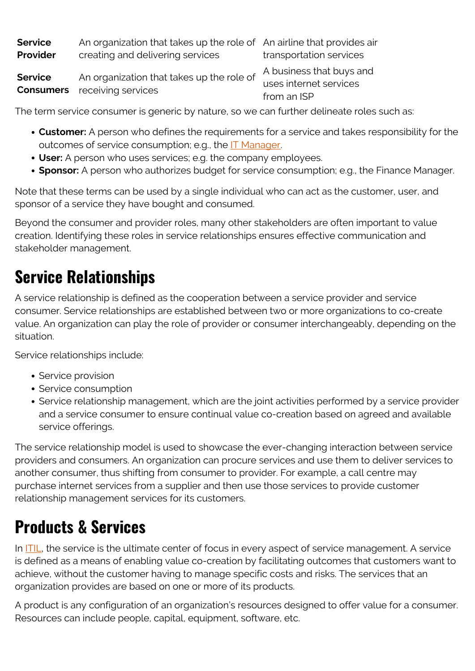| <b>Service</b> | An organization that takes up the role of An airline that provides air           |                          |
|----------------|----------------------------------------------------------------------------------|--------------------------|
| Provider       | creating and delivering services                                                 | transportation services  |
| <b>Service</b> | An organization that takes up the role of<br><b>Consumers</b> receiving services | A business that buys and |
|                |                                                                                  | uses internet services   |
|                |                                                                                  | from an ISP              |

The term service consumer is generic by nature, so we can further delineate roles such as:

- **Customer:** A person who defines the requirements for a service and takes responsibility for the outcomes of service consumption; e.g., the [IT Manager.](https://blogs.bmc.com/blogs/it-management/)
- **User:** A person who uses services; e.g. the company employees.
- **Sponsor:** A person who authorizes budget for service consumption; e.g., the Finance Manager.

Note that these terms can be used by a single individual who can act as the customer, user, and sponsor of a service they have bought and consumed.

Beyond the consumer and provider roles, many other stakeholders are often important to value creation. Identifying these roles in service relationships ensures effective communication and stakeholder management.

#### **Service Relationships**

A service relationship is defined as the cooperation between a service provider and service consumer. Service relationships are established between two or more organizations to co-create value. An organization can play the role of provider or consumer interchangeably, depending on the situation.

Service relationships include:

- Service provision
- Service consumption
- Service relationship management, which are the joint activities performed by a service provider and a service consumer to ensure continual value co-creation based on agreed and available service offerings.

The service relationship model is used to showcase the ever-changing interaction between service providers and consumers. An organization can procure services and use them to deliver services to another consumer, thus shifting from consumer to provider. For example, a call centre may purchase internet services from a supplier and then use those services to provide customer relationship management services for its customers.

#### **Products & Services**

In [ITIL](https://blogs.bmc.com/blogs/itil-4/), the service is the ultimate center of focus in every aspect of service management. A service is defined as a means of enabling value co-creation by facilitating outcomes that customers want to achieve, without the customer having to manage specific costs and risks. The services that an organization provides are based on one or more of its products.

A product is any configuration of an organization's resources designed to offer value for a consumer. Resources can include people, capital, equipment, software, etc.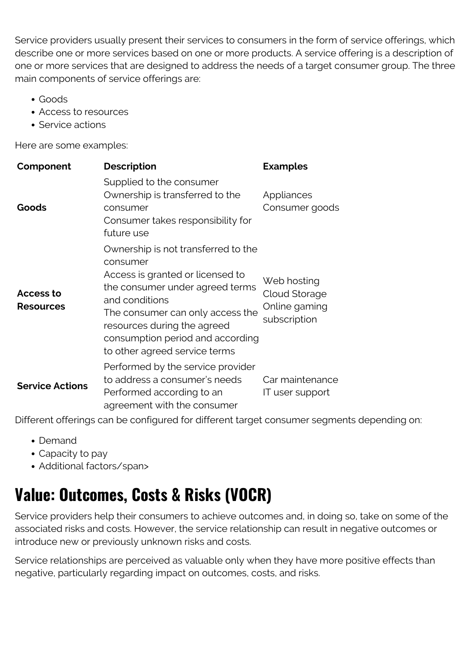Service providers usually present their services to consumers in the form of service offerings, which describe one or more services based on one or more products. A service offering is a description of one or more services that are designed to address the needs of a target consumer group. The three main components of service offerings are:

- Goods
- Access to resources
- Service actions

Here are some examples:

| Component                     | <b>Description</b>                                                                                                                                                                                                                                                               | <b>Examples</b>                                               |
|-------------------------------|----------------------------------------------------------------------------------------------------------------------------------------------------------------------------------------------------------------------------------------------------------------------------------|---------------------------------------------------------------|
| Goods                         | Supplied to the consumer<br>Ownership is transferred to the<br>consumer<br>Consumer takes responsibility for<br>future use                                                                                                                                                       | Appliances<br>Consumer goods                                  |
| Access to<br><b>Resources</b> | Ownership is not transferred to the<br>consumer<br>Access is granted or licensed to<br>the consumer under agreed terms<br>and conditions<br>The consumer can only access the<br>resources during the agreed<br>consumption period and according<br>to other agreed service terms | Web hosting<br>Cloud Storage<br>Online gaming<br>subscription |
| <b>Service Actions</b>        | Performed by the service provider<br>to address a consumer's needs<br>Performed according to an<br>agreement with the consumer                                                                                                                                                   | Car maintenance<br>IT user support                            |

Different offerings can be configured for different target consumer segments depending on:

- Demand
- Capacity to pay
- Additional factors/span>

## **Value: Outcomes, Costs & Risks (VOCR)**

Service providers help their consumers to achieve outcomes and, in doing so, take on some of the associated risks and costs. However, the service relationship can result in negative outcomes or introduce new or previously unknown risks and costs.

Service relationships are perceived as valuable only when they have more positive effects than negative, particularly regarding impact on outcomes, costs, and risks.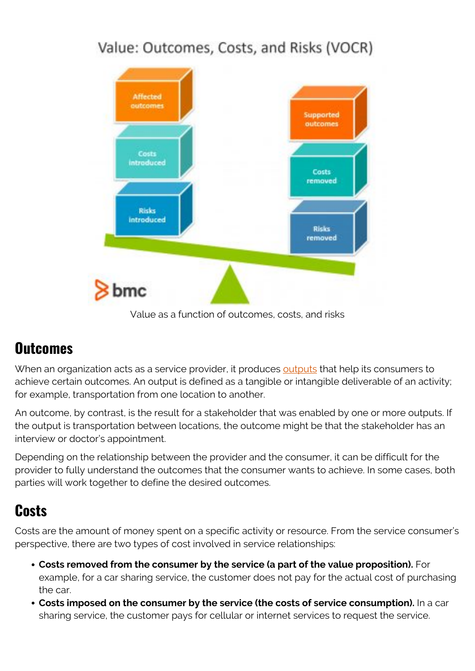#### Value: Outcomes, Costs, and Risks (VOCR)



Value as a function of outcomes, costs, and risks

#### **Outcomes**

When an organization acts as a service provider, it produces [outputs](https://blogs.bmc.com/blogs/outcomes-vs-outputs/) that help its consumers to achieve certain outcomes. An output is defined as a tangible or intangible deliverable of an activity; for example, transportation from one location to another.

An outcome, by contrast, is the result for a stakeholder that was enabled by one or more outputs. If the output is transportation between locations, the outcome might be that the stakeholder has an interview or doctor's appointment.

Depending on the relationship between the provider and the consumer, it can be difficult for the provider to fully understand the outcomes that the consumer wants to achieve. In some cases, both parties will work together to define the desired outcomes.

#### **Costs**

Costs are the amount of money spent on a specific activity or resource. From the service consumer's perspective, there are two types of cost involved in service relationships:

- **Costs removed from the consumer by the service (a part of the value proposition).** For example, for a car sharing service, the customer does not pay for the actual cost of purchasing the car.
- **Costs imposed on the consumer by the service (the costs of service consumption).** In a car sharing service, the customer pays for cellular or internet services to request the service.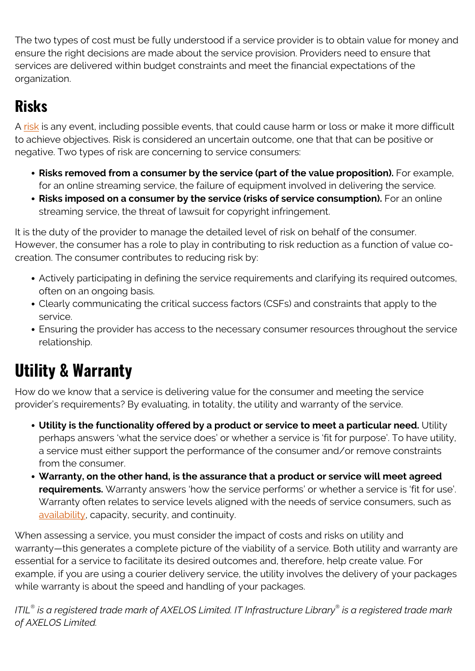The two types of cost must be fully understood if a service provider is to obtain value for money and ensure the right decisions are made about the service provision. Providers need to ensure that services are delivered within budget constraints and meet the financial expectations of the organization.

#### **Risks**

A [risk](https://blogs.bmc.com/blogs/risk-management-framework-process-itsm-environments/) is any event, including possible events, that could cause harm or loss or make it more difficult to achieve objectives. Risk is considered an uncertain outcome, one that that can be positive or negative. Two types of risk are concerning to service consumers:

- **Risks removed from a consumer by the service (part of the value proposition).** For example, for an online streaming service, the failure of equipment involved in delivering the service.
- **Risks imposed on a consumer by the service (risks of service consumption).** For an online streaming service, the threat of lawsuit for copyright infringement.

It is the duty of the provider to manage the detailed level of risk on behalf of the consumer. However, the consumer has a role to play in contributing to risk reduction as a function of value cocreation. The consumer contributes to reducing risk by:

- Actively participating in defining the service requirements and clarifying its required outcomes, often on an ongoing basis.
- Clearly communicating the critical success factors (CSFs) and constraints that apply to the service.
- Ensuring the provider has access to the necessary consumer resources throughout the service relationship.

## **Utility & Warranty**

How do we know that a service is delivering value for the consumer and meeting the service provider's requirements? By evaluating, in totality, the utility and warranty of the service.

- **Utility is the functionality offered by a product or service to meet a particular need.** Utility perhaps answers 'what the service does' or whether a service is 'fit for purpose'. To have utility, a service must either support the performance of the consumer and/or remove constraints from the consumer.
- **Warranty, on the other hand, is the assurance that a product or service will meet agreed requirements.** Warranty answers 'how the service performs' or whether a service is 'fit for use'. Warranty often relates to service levels aligned with the needs of service consumers, such as [availability](https://blogs.bmc.com/blogs/reliability-vs-availability/), capacity, security, and continuity.

When assessing a service, you must consider the impact of costs and risks on utility and warranty—this generates a complete picture of the viability of a service. Both utility and warranty are essential for a service to facilitate its desired outcomes and, therefore, help create value. For example, if you are using a courier delivery service, the utility involves the delivery of your packages while warranty is about the speed and handling of your packages.

*ITIL® is a registered trade mark of AXELOS Limited. IT Infrastructure Library® is a registered trade mark of AXELOS Limited.*